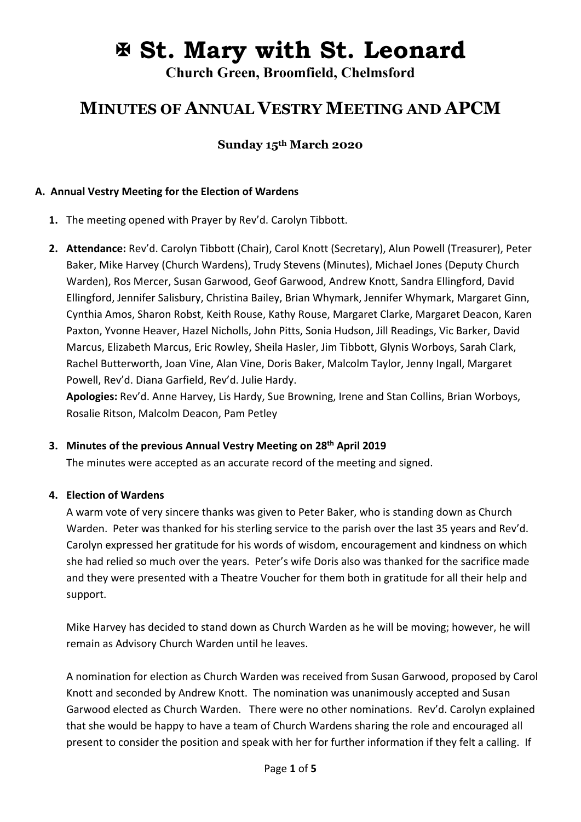# **St. Mary with St. Leonard**

**Church Green, Broomfield, Chelmsford**

# **MINUTES OF ANNUAL VESTRY MEETING AND APCM**

# **Sunday 15th March 2020**

#### **A. Annual Vestry Meeting for the Election of Wardens**

- **1.** The meeting opened with Prayer by Rev'd. Carolyn Tibbott.
- **2. Attendance:** Rev'd. Carolyn Tibbott (Chair), Carol Knott (Secretary), Alun Powell (Treasurer), Peter Baker, Mike Harvey (Church Wardens), Trudy Stevens (Minutes), Michael Jones (Deputy Church Warden), Ros Mercer, Susan Garwood, Geof Garwood, Andrew Knott, Sandra Ellingford, David Ellingford, Jennifer Salisbury, Christina Bailey, Brian Whymark, Jennifer Whymark, Margaret Ginn, Cynthia Amos, Sharon Robst, Keith Rouse, Kathy Rouse, Margaret Clarke, Margaret Deacon, Karen Paxton, Yvonne Heaver, Hazel Nicholls, John Pitts, Sonia Hudson, Jill Readings, Vic Barker, David Marcus, Elizabeth Marcus, Eric Rowley, Sheila Hasler, Jim Tibbott, Glynis Worboys, Sarah Clark, Rachel Butterworth, Joan Vine, Alan Vine, Doris Baker, Malcolm Taylor, Jenny Ingall, Margaret Powell, Rev'd. Diana Garfield, Rev'd. Julie Hardy.

**Apologies:** Rev'd. Anne Harvey, Lis Hardy, Sue Browning, Irene and Stan Collins, Brian Worboys, Rosalie Ritson, Malcolm Deacon, Pam Petley

#### **3. Minutes of the previous Annual Vestry Meeting on 28th April 2019**

The minutes were accepted as an accurate record of the meeting and signed.

#### **4. Election of Wardens**

A warm vote of very sincere thanks was given to Peter Baker, who is standing down as Church Warden. Peter was thanked for his sterling service to the parish over the last 35 years and Rev'd. Carolyn expressed her gratitude for his words of wisdom, encouragement and kindness on which she had relied so much over the years. Peter's wife Doris also was thanked for the sacrifice made and they were presented with a Theatre Voucher for them both in gratitude for all their help and support.

Mike Harvey has decided to stand down as Church Warden as he will be moving; however, he will remain as Advisory Church Warden until he leaves.

A nomination for election as Church Warden was received from Susan Garwood, proposed by Carol Knott and seconded by Andrew Knott. The nomination was unanimously accepted and Susan Garwood elected as Church Warden. There were no other nominations. Rev'd. Carolyn explained that she would be happy to have a team of Church Wardens sharing the role and encouraged all present to consider the position and speak with her for further information if they felt a calling. If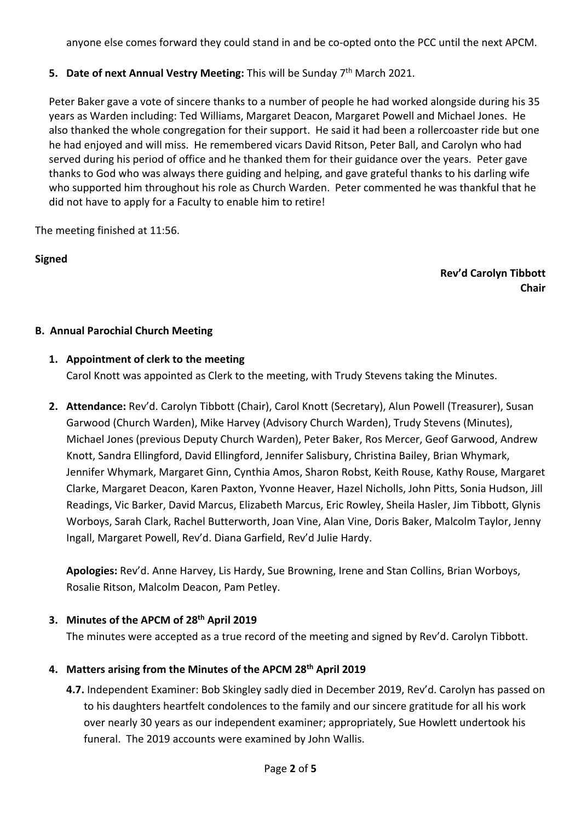anyone else comes forward they could stand in and be co-opted onto the PCC until the next APCM.

# **5.** Date of next Annual Vestry Meeting: This will be Sunday 7<sup>th</sup> March 2021.

Peter Baker gave a vote of sincere thanks to a number of people he had worked alongside during his 35 years as Warden including: Ted Williams, Margaret Deacon, Margaret Powell and Michael Jones. He also thanked the whole congregation for their support. He said it had been a rollercoaster ride but one he had enjoyed and will miss. He remembered vicars David Ritson, Peter Ball, and Carolyn who had served during his period of office and he thanked them for their guidance over the years. Peter gave thanks to God who was always there guiding and helping, and gave grateful thanks to his darling wife who supported him throughout his role as Church Warden. Peter commented he was thankful that he did not have to apply for a Faculty to enable him to retire!

The meeting finished at 11:56.

# **Signed**

#### **Rev'd Carolyn Tibbott Chair**

# **B. Annual Parochial Church Meeting**

# **1. Appointment of clerk to the meeting**

Carol Knott was appointed as Clerk to the meeting, with Trudy Stevens taking the Minutes.

**2. Attendance:** Rev'd. Carolyn Tibbott (Chair), Carol Knott (Secretary), Alun Powell (Treasurer), Susan Garwood (Church Warden), Mike Harvey (Advisory Church Warden), Trudy Stevens (Minutes), Michael Jones (previous Deputy Church Warden), Peter Baker, Ros Mercer, Geof Garwood, Andrew Knott, Sandra Ellingford, David Ellingford, Jennifer Salisbury, Christina Bailey, Brian Whymark, Jennifer Whymark, Margaret Ginn, Cynthia Amos, Sharon Robst, Keith Rouse, Kathy Rouse, Margaret Clarke, Margaret Deacon, Karen Paxton, Yvonne Heaver, Hazel Nicholls, John Pitts, Sonia Hudson, Jill Readings, Vic Barker, David Marcus, Elizabeth Marcus, Eric Rowley, Sheila Hasler, Jim Tibbott, Glynis Worboys, Sarah Clark, Rachel Butterworth, Joan Vine, Alan Vine, Doris Baker, Malcolm Taylor, Jenny Ingall, Margaret Powell, Rev'd. Diana Garfield, Rev'd Julie Hardy.

**Apologies:** Rev'd. Anne Harvey, Lis Hardy, Sue Browning, Irene and Stan Collins, Brian Worboys, Rosalie Ritson, Malcolm Deacon, Pam Petley.

# **3. Minutes of the APCM of 28th April 2019**

The minutes were accepted as a true record of the meeting and signed by Rev'd. Carolyn Tibbott.

# **4. Matters arising from the Minutes of the APCM 28th April 2019**

**4.7.** Independent Examiner: Bob Skingley sadly died in December 2019, Rev'd. Carolyn has passed on to his daughters heartfelt condolences to the family and our sincere gratitude for all his work over nearly 30 years as our independent examiner; appropriately, Sue Howlett undertook his funeral. The 2019 accounts were examined by John Wallis.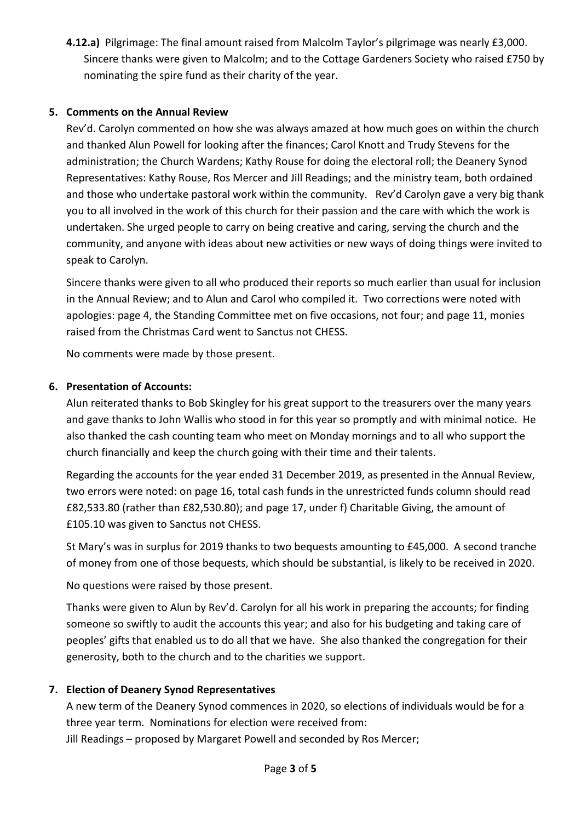**4.12.a)** Pilgrimage: The final amount raised from Malcolm Taylor's pilgrimage was nearly £3,000. Sincere thanks were given to Malcolm; and to the Cottage Gardeners Society who raised £750 by nominating the spire fund as their charity of the year.

#### **5. Comments on the Annual Review**

Rev'd. Carolyn commented on how she was always amazed at how much goes on within the church and thanked Alun Powell for looking after the finances; Carol Knott and Trudy Stevens for the administration; the Church Wardens; Kathy Rouse for doing the electoral roll; the Deanery Synod Representatives: Kathy Rouse, Ros Mercer and Jill Readings; and the ministry team, both ordained and those who undertake pastoral work within the community. Rev'd Carolyn gave a very big thank you to all involved in the work of this church for their passion and the care with which the work is undertaken. She urged people to carry on being creative and caring, serving the church and the community, and anyone with ideas about new activities or new ways of doing things were invited to speak to Carolyn.

Sincere thanks were given to all who produced their reports so much earlier than usual for inclusion in the Annual Review; and to Alun and Carol who compiled it. Two corrections were noted with apologies: page 4, the Standing Committee met on five occasions, not four; and page 11, monies raised from the Christmas Card went to Sanctus not CHESS.

No comments were made by those present.

#### **6. Presentation of Accounts:**

Alun reiterated thanks to Bob Skingley for his great support to the treasurers over the many years and gave thanks to John Wallis who stood in for this year so promptly and with minimal notice. He also thanked the cash counting team who meet on Monday mornings and to all who support the church financially and keep the church going with their time and their talents.

Regarding the accounts for the year ended 31 December 2019, as presented in the Annual Review, two errors were noted: on page 16, total cash funds in the unrestricted funds column should read £82,533.80 (rather than £82,530.80); and page 17, under f) Charitable Giving, the amount of £105.10 was given to Sanctus not CHESS.

St Mary's was in surplus for 2019 thanks to two bequests amounting to £45,000. A second tranche of money from one of those bequests, which should be substantial, is likely to be received in 2020.

No questions were raised by those present.

Thanks were given to Alun by Rev'd. Carolyn for all his work in preparing the accounts; for finding someone so swiftly to audit the accounts this year; and also for his budgeting and taking care of peoples' gifts that enabled us to do all that we have. She also thanked the congregation for their generosity, both to the church and to the charities we support.

# **7. Election of Deanery Synod Representatives**

A new term of the Deanery Synod commences in 2020, so elections of individuals would be for a three year term. Nominations for election were received from: Jill Readings – proposed by Margaret Powell and seconded by Ros Mercer;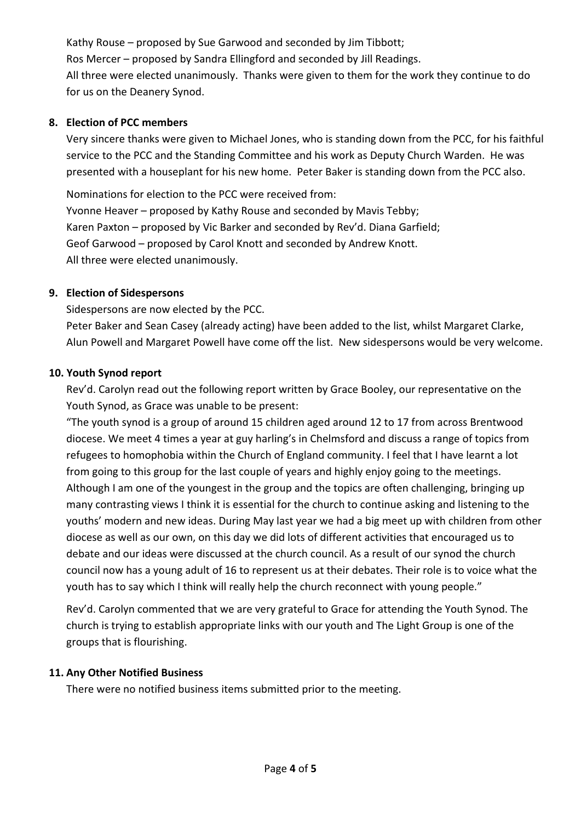Kathy Rouse – proposed by Sue Garwood and seconded by Jim Tibbott; Ros Mercer – proposed by Sandra Ellingford and seconded by Jill Readings. All three were elected unanimously. Thanks were given to them for the work they continue to do for us on the Deanery Synod.

#### **8. Election of PCC members**

Very sincere thanks were given to Michael Jones, who is standing down from the PCC, for his faithful service to the PCC and the Standing Committee and his work as Deputy Church Warden. He was presented with a houseplant for his new home. Peter Baker is standing down from the PCC also.

Nominations for election to the PCC were received from: Yvonne Heaver – proposed by Kathy Rouse and seconded by Mavis Tebby; Karen Paxton – proposed by Vic Barker and seconded by Rev'd. Diana Garfield; Geof Garwood – proposed by Carol Knott and seconded by Andrew Knott. All three were elected unanimously.

#### **9. Election of Sidespersons**

Sidespersons are now elected by the PCC. Peter Baker and Sean Casey (already acting) have been added to the list, whilst Margaret Clarke, Alun Powell and Margaret Powell have come off the list. New sidespersons would be very welcome.

#### **10. Youth Synod report**

Rev'd. Carolyn read out the following report written by Grace Booley, our representative on the Youth Synod, as Grace was unable to be present:

"The youth synod is a group of around 15 children aged around 12 to 17 from across Brentwood diocese. We meet 4 times a year at guy harling's in Chelmsford and discuss a range of topics from refugees to homophobia within the Church of England community. I feel that I have learnt a lot from going to this group for the last couple of years and highly enjoy going to the meetings. Although I am one of the youngest in the group and the topics are often challenging, bringing up many contrasting views I think it is essential for the church to continue asking and listening to the youths' modern and new ideas. During May last year we had a big meet up with children from other diocese as well as our own, on this day we did lots of different activities that encouraged us to debate and our ideas were discussed at the church council. As a result of our synod the church council now has a young adult of 16 to represent us at their debates. Their role is to voice what the youth has to say which I think will really help the church reconnect with young people."

Rev'd. Carolyn commented that we are very grateful to Grace for attending the Youth Synod. The church is trying to establish appropriate links with our youth and The Light Group is one of the groups that is flourishing.

#### **11. Any Other Notified Business**

There were no notified business items submitted prior to the meeting.